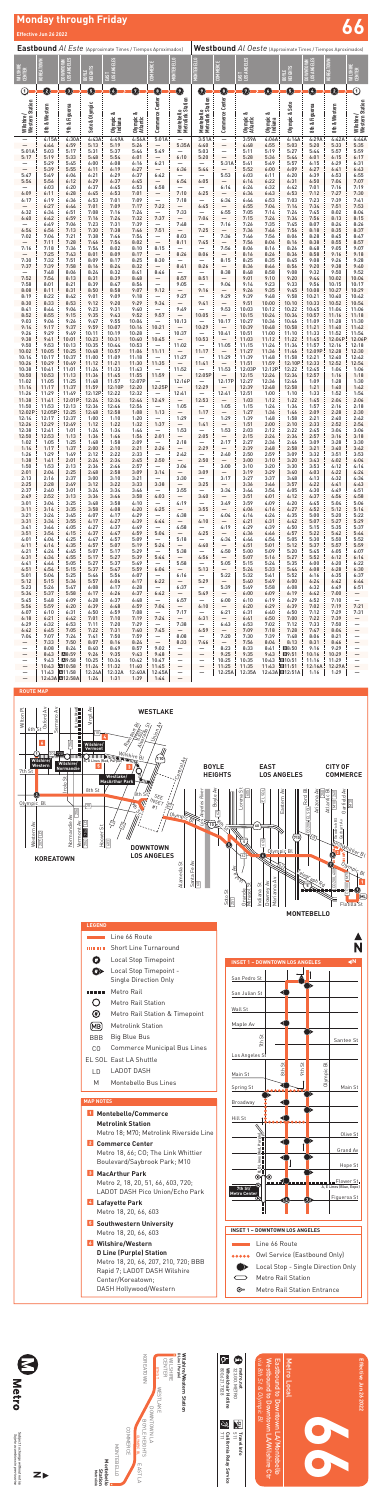## **Monday through Friday Effective Jun 26 2022 66**

**Effective Jun 26 2022**

Effective Jun 26 2022





*Sujeto a cambios sin previo aviso*



# **Wilshire/Western Station**

| <b>Eastbound Al Este (Approximate Times / Tiempos Aproximados)</b> |                        |                            |                         |                               |                                |                                    |                                    | Westbound Al Oeste (Approximate Times / Tiempos Aproximados) |                                             |                                      |                               |                          |                                                          |                        |                                               |  |
|--------------------------------------------------------------------|------------------------|----------------------------|-------------------------|-------------------------------|--------------------------------|------------------------------------|------------------------------------|--------------------------------------------------------------|---------------------------------------------|--------------------------------------|-------------------------------|--------------------------|----------------------------------------------------------|------------------------|-----------------------------------------------|--|
| <b>WILSHIRE</b><br>CENTER                                          | <b>(OREATOWN</b>       | LOS ANGELES<br><b>NAND</b> | BOYLE<br>HEIGHTS        | LOS ANGELES<br>581            |                                | COMMERCE                           | <b>MONTEBELLO</b>                  | <b>TEBELLO</b><br>$\Rightarrow$                              | COMMERCE                                    | LOS ANGELES<br>EXE                   |                               | BOYLE<br>HEIGHTS         | LOS ANGELES<br><b>NTOWN</b><br>$\mathsf{M}^{\mathsf{N}}$ | <b>KOREATOWN</b>       | <b>WILSHIRE</b><br><b>CENTER</b>              |  |
| $\odot$                                                            | ❷                      | ❺                          | G                       | $\mathbf 0$                   | Ø                              | $\mathbf 0$                        | $\mathbf 0$                        | 0                                                            | $\mathbf 0$                                 | 0                                    | O                             | O                        | $\mathbf 0$                                              | 0                      | $\overline{\textcircled{\scriptsize{1}}}$     |  |
| Wilshire/<br>Western Station<br>$\overline{\phantom{0}}$           | 8th & Western<br>4:15A | 9th & Figueroa<br>4:30A    | Soto & Olympic<br>4:43A | Olympic &<br>Indiana<br>4:49A | Olympic &<br>Atlantic<br>4:56A | Commerce Center<br>5:01A           | Montebello<br>Metrolink Station    | Montebello<br>Metrolink Station<br>3:51A                     | Commerce Center<br>$\overline{\phantom{0}}$ | ంర<br>Olympic &<br>Atlantic<br>3:59A | Olympic &<br>Indiana<br>4:06A | Olympic & Soto<br>4:14A  | 8th & Figueroa<br>4:29A                                  | 8th & Western<br>4:42A | Wilshire/<br>Western Station<br>4:44A         |  |
| 5:01A                                                              | 4:44<br>5:03           | 4:59<br>5:17               | 5:13<br>5:31            | 5:19<br>5:37                  | 5:26<br>5:44                   | 5:49                               | 5:35A                              | 4:40<br>5:03                                                 | $\overline{\phantom{0}}$<br>—               | 4:48<br>5:11                         | 4:55<br>5:19                  | 5:03<br>5:27             | 5:20<br>5:44                                             | 5:33<br>5:57           | 5:35<br>5:59                                  |  |
| 5:17                                                               | 5:19<br>5:29           | 5:33<br>5:45               | 5:48<br>6:00            | 5:54<br>6:08                  | 6:01<br>6:16                   | 6:21                               | 6:10                               | 5:20                                                         | 5:31A                                       | 5:28<br>5:41                         | 5:36<br>5:49                  | 5:44<br>5:57             | 6:01<br>6:15                                             | 6:15<br>6:29           | 6:17<br>6:31                                  |  |
| $\overline{\phantom{0}}$<br>5:47                                   | 5:39<br>5:49           | 5:55<br>6:04               | 6:11<br>6:21            | 6:19<br>6:29                  | 6:27<br>6:37                   | 6:42                               | 6:36                               | 5:44                                                         | 5:53                                        | 5:52<br>6:03                         | 6:00<br>6:11                  | 6:09<br>6:20             | 6:27<br>6:39                                             | 6:41<br>6:53           | 6:43<br>6:55                                  |  |
| 5:54                                                               | 5:56<br>6:03           | 6:12<br>6:20               | 6:29<br>6:37            | 6:37<br>6:45                  | 6:45<br>6:53                   | 6:58                               | 6:54                               | 6:05                                                         | 6:14                                        | 6:14<br>6:24                         | 6:22<br>6:32                  | 6:31<br>6:42             | 6:50<br>7:01                                             | 7:04<br>7:16           | 7:07<br>7:19                                  |  |
| 6:09                                                               | 6:11                   | 6:28                       | 6:45                    | 6:53                          | 7:01                           | $\overline{\phantom{0}}$           | 7:10                               | 6:25                                                         |                                             | 6:34                                 | 6:43                          | 6:53                     | 7:12                                                     | 7:27                   | 7:30                                          |  |
| 6:17                                                               | 6:19<br>6:27           | 6:36<br>6:44               | 6:53<br>7:01            | 7:01<br>7:09                  | 7:09<br>7:17                   | —<br>7:22                          | 7:18<br>$\overline{\phantom{0}}$   | 6:45                                                         | 6:34                                        | 6:44<br>6:55                         | 6:53<br>7:04                  | 7:03<br>7:14             | 7:23<br>7:34                                             | 7:39<br>7:51           | 7:41<br>7:53                                  |  |
| 6:32<br>6:40                                                       | 6:34<br>6:42           | 6:51<br>6:59               | 7:08<br>7:16            | 7:16<br>7:24                  | 7:24<br>7:32                   | 7:37                               | 7:33<br>$\overline{\phantom{0}}$   | 7:04                                                         | 6:55                                        | 7:05<br>7:15                         | 7:14<br>7:24                  | 7:24<br>7:34             | 7:45<br>7:56                                             | 8:02<br>8:13           | 8:04<br>8:15                                  |  |
| 6:54                                                               | 6:49<br>6:56           | 7:06<br>7:13               | 7:23<br>7:30            | 7:31<br>7:38                  | 7:39<br>7:46                   | 7:51                               | 7:48<br>$\overline{\phantom{0}}$   | 7:25                                                         | 7:16<br>$\overline{\phantom{0}}$            | 7:26<br>7:36                         | 7:35<br>7:46                  | 7:45<br>7:56             | 8:07<br>8:18                                             | 8:24<br>8:35           | 8:26<br>8:37                                  |  |
| 7:02                                                               | 7:04<br>7:11           | 7:21<br>7:28               | 7:38<br>7:46            | 7:46<br>7:54                  | 7:54<br>8:02                   | —<br>$\overline{\phantom{0}}$      | 8:03<br>8:11                       | 7:45                                                         | 7:36                                        | 7:46<br>7:56                         | 7:56<br>8:06                  | 8:06<br>8:16             | 8:28<br>8:38                                             | 8:45<br>8:55           | 8:47<br>8:57                                  |  |
| 7:16                                                               | 7:18<br>7:25           | 7:36<br>7:43               | 7:54<br>8:01            | 8:02<br>8:09                  | 8:10<br>8:17                   | 8:15                               | 8:26                               | 8:06                                                         | 7:56                                        | 8:06<br>8:16                         | 8:16<br>8:26                  | 8:26<br>8:36             | 8:48<br>8:58                                             | 9:05<br>9:16           | 9:07<br>9:18                                  |  |
| 7:30                                                               | 7:32                   | 7:51                       | 8:09                    | 8:17                          | 8:25                           | 8:30                               |                                    |                                                              | 8:15                                        | 8:25                                 | 8:35                          | 8:45                     | 9:08                                                     | 9:26                   | 9:28                                          |  |
| 7:37                                                               | 7:39<br>7:48           | 7:58<br>8:06               | 8:16<br>8:24            | 8:24<br>8:32                  | 8:32<br>8:41                   | 8:46                               | 8:41                               | 8:26                                                         | 8:38                                        | 8:36<br>8:48                         | 8:46<br>8:58                  | 8:56<br>9:08             | 9:20<br>9:32                                             | 9:38<br>9:50           | 9:40<br>9:52                                  |  |
| 7:52<br>7:58                                                       | 7:54<br>8:01           | 8:13<br>8:21               | 8:31<br>8:39            | 8:39<br>8:47                  | 8:48<br>8:56                   |                                    | 8:57<br>9:05                       | 8:51                                                         | 9:04                                        | 9:01<br>9:14                         | 9:10<br>9:23                  | 9:20<br>9:33             | 9:44<br>9:56                                             | 10:02<br>10:15         | 10:04<br>10:17                                |  |
| 8:08<br>8:19                                                       | 8:11<br>8:22           | 8:31<br>8:42               | 8:50<br>9:01            | 8:58<br>9:09                  | 9:07<br>9:18                   | 9:12                               | 9:27                               | 9:16                                                         | 9:29                                        | 9:26<br>9:39                         | 9:35<br>9:48                  | 9:45<br>9:58             | 10:08<br>10:21                                           | 10:27<br>10:40         | 10:29<br>10:42                                |  |
| 8:30<br>8:41                                                       | 8:33<br>8:44           | 8:53<br>9:04               | 9:12<br>9:23            | 9:20<br>9:31                  | 9:29<br>9:40                   | 9:34                               | 9:49                               | 9:41                                                         | 9:53                                        | 9:51<br>10:03                        | 10:00<br>10:12                | 10:10<br>10:22           | 10:33<br>10:45                                           | 10:52<br>11:04         | 10:54<br>11:06                                |  |
| 8:52<br>9:03                                                       | 8:55<br>9:06           | 9:15<br>9:26               | 9:35<br>9:47            | 9:43<br>9:55                  | 9:52<br>10:04                  | 9:57                               | $\qquad \qquad -$<br>10:13         | 10:05                                                        | $\overline{\phantom{0}}$<br>10:17           | 10:15<br>10:27                       | 10:24<br>10:36                | 10:34<br>10:46           | 10:57<br>11:09                                           | 11:16<br>11:28         | 11:18<br>11:30                                |  |
| 9:14<br>9:26                                                       | 9:17<br>9:29           | 9:37<br>9:49               | 9:59<br>10:11           | 10:07<br>10:19                | 10:16<br>10:28                 | 10:21                              | 10:37                              | 10:29                                                        | 10:41                                       | 10:39<br>10:51                       | 10:48<br>11:00                | 10:58<br>11:10           | 11:21<br>11:33                                           | 11:40<br>11:52         | 11:42<br>11:54                                |  |
| 9:38                                                               | 9:41                   | 10:01                      | 10:23                   | 10:31                         | 10:40                          | 10:45                              |                                    | 10:53                                                        |                                             | 11:03                                | 11:12                         | 11:22                    | 11:45                                                    | 12:04P                 | 12:06P                                        |  |
| 9:50<br>10:02                                                      | 9:53<br>10:05          | 10:13<br>10:25             | 10:35<br>10:48          | 10:44<br>10:57                | 10:53<br>11:06                 | 11:11                              | 11:02<br>$\qquad \qquad -$         | 11:17                                                        | 11:05                                       | 11:15<br>11:27                       | 11:24<br>11:36                | 11:34<br>11:46           | 11:57<br>12:09P                                          | 12:16<br>12:28         | 12:18<br>12:30                                |  |
| 10:14<br>10:26                                                     | 10:17<br>10:29         | 10:37<br>10:49             | 11:00<br>11:12          | 11:09<br>11:21                | 11:18<br>11:30                 | 11:35                              | 11:27                              | 11:41                                                        | 11:29                                       | 11:39<br>11:51                       | 11:48<br>11:59                | 11:58<br>12:10P          | 12:21<br>12:33                                           | 12:40<br>12:52         | 12:42<br>12:54                                |  |
| 10:38<br>10:50                                                     | 10:41<br>10:53         | 11:01<br>11:13             | 11:24<br>11:36          | 11:33<br>11:45                | 11:43<br>11:55                 | 11:59                              | 11:52                              | 12:05P                                                       | 11:53                                       | 12:03P<br>12:15                      | 12:12P<br>12:24               | 12:22<br>12:34           | 12:45<br>12:57                                           | 1:04<br>1:16           | 1:06<br>1:18                                  |  |
| 11:02<br>11:14                                                     | 11:05<br>11:17         | 11:25<br>11:37             | 11:48<br>11:59          | 11:57<br>12:10P               | 12:07P<br>12:20                | $\overline{\phantom{0}}$<br>12:25P | 12:16P<br>$\overline{\phantom{m}}$ | $\qquad \qquad -$<br>12:29                                   | 12:17P<br>-                                 | 12:27<br>12:39                       | 12:36<br>12:48                | 12:46<br>12:58           | 1:09<br>1:21                                             | 1:28<br>1:40           | 1:30<br>1:42                                  |  |
| 11:26<br>11:38                                                     | 11:29<br>11:41         | 11:49<br>12:01P            | 12:12P<br>12:24         | 12:22<br>12:34                | 12:32<br>12:44                 | $\overline{\phantom{0}}$<br>12:49  | 12:41<br>$\overline{\phantom{m}}$  | $\qquad \qquad -$<br>12:53                                   | 12:41<br>$\qquad \qquad -$                  | 12:51<br>1:03                        | 1:00<br>1:12                  | 1:10<br>1:22             | 1:33<br>1:45                                             | 1:52<br>2:04           | 1:54<br>2:06                                  |  |
| 11:50<br>12:02P                                                    | 11:53<br>12:05P        | 12:13<br>12:25             | 12:36<br>12:48          | 12:46<br>12:58                | 12:56<br>1:08                  | $\qquad \qquad -$<br>1:13          | 1:05<br>$\overline{\phantom{0}}$   | $\qquad \qquad -$<br>1:17                                    | 1:05<br>$-$                                 | 1:15<br>1:27                         | 1:24<br>1:36                  | 1:34<br>1:46             | 1:57<br>2:09                                             | 2:16<br>2:28           | 2:18<br>2:30                                  |  |
| 12:14<br>12:26                                                     | 12:17<br>12:29         | 12:37<br>12:49             | 1:00<br>1:12            | 1:10<br>1:22                  | 1:20<br>1:32                   | $\qquad \qquad -$<br>1:37          | 1:29<br>$-$                        | $\qquad \qquad -$<br>1:41                                    | 1:29<br>$\overline{\phantom{0}}$            | 1:39<br>1:51                         | 1:48<br>2:00                  | 1:58<br>2:10             | 2:21<br>2:33                                             | 2:40<br>2:52           | 2:42<br>2:54                                  |  |
| 12:38                                                              | 12:41                  | 1:01                       | 1:24                    | 1:34                          | 1:44                           | $\overline{\phantom{0}}$           | 1:53                               | $\qquad \qquad -$                                            | 1:53                                        | 2:03                                 | 2:12                          | 2:22                     | 2:45                                                     | 3:04                   | 3:06                                          |  |
| 12:50<br>1:02                                                      | 12:53<br>1:05          | 1:13<br>1:25               | 1:36<br>1:48            | 1:46<br>1:58                  | 1:56<br>2:09                   | 2:01<br>$\overline{\phantom{0}}$   | $\overline{\phantom{m}}$<br>2:18   | 2:05<br>$\qquad \qquad -$                                    | $-$<br>2:17                                 | 2:15<br>2:27                         | 2:24<br>2:36                  | 2:34<br>2:46             | 2:57<br>3:09                                             | 3:16<br>3:28           | 3:18<br>3:30                                  |  |
| 1:14<br>1:26                                                       | 1:17<br>1:29           | 1:37<br>1:49               | 2:00<br>2:12            | 2:10<br>2:22                  | 2:21<br>2:33                   | 2:26<br>$\overline{\phantom{0}}$   | $\qquad \qquad -$<br>2:42          | 2:29<br>$\qquad \qquad -$                                    | $-$<br>2:40                                 | 2:39<br>2:50                         | 2:48<br>2:59                  | 2:58<br>3:09             | 3:21<br>3:32                                             | 3:40<br>3:51           | 3:42<br>3:53                                  |  |
| 1:38<br>1:50                                                       | 1:41<br>1:53           | 2:01<br>2:13               | 2:24<br>2:36            | 2:34<br>2:46                  | 2:45<br>2:57                   | 2:50<br>$-$                        | $\overline{\phantom{m}}$<br>3:06   | 2:50<br>$\overline{\phantom{0}}$                             | $\overline{\phantom{0}}$<br>3:00            | 3:00<br>3:10                         | 3:10<br>3:20                  | 3:20<br>3:30             | 3:43<br>3:53                                             | 4:02<br>4:12           | 4:04<br>4:14                                  |  |
| 2:01<br>2:13                                                       | 2:04<br>2:16           | 2:25<br>2:37               | 2:48<br>3:00            | 2:58<br>3:10                  | 3:09<br>3:21                   | 3:14<br>$\qquad \qquad -$          | $\overline{\phantom{m}}$<br>3:30   | 3:09<br>$\qquad \qquad -$                                    | $\overline{\phantom{0}}$<br>3:17            | 3:19<br>3:27                         | 3:29<br>3:37                  | 3:40<br>3:48             | 4:03<br>4:13                                             | 4:22<br>4:32           | 4:24<br>4:34                                  |  |
| 2:25<br>2:37                                                       | 2:28<br>2:40           | 2:49<br>3:01               | 3:12<br>3:24            | 3:22<br>3:34                  | 3:33<br>3:46                   | 3:38<br>$\overline{\phantom{0}}$   | $\qquad \qquad -$<br>3:55          | 3:25<br>$\qquad \qquad -$                                    | $-$<br>3:34                                 | 3:36<br>3:44                         | 3:46<br>3:54                  | 3:57<br>4:05             | 4:22<br>4:30                                             | 4:41<br>4:49           | 4:43<br>4:51                                  |  |
| 2:49<br>3:01                                                       | 2:52<br>3:04           | 3:13<br>3:25               | 3:36<br>3:48            | 3:46<br>3:58                  | 3:58<br>4:10                   | 4:03<br>$-$                        | $\overline{\phantom{m}}$<br>4:19   | 3:40<br>$\qquad \qquad -$                                    | $\overline{\phantom{0}}$<br>3:49            | 3:51<br>3:59                         | 4:01<br>4:09                  | 4:12<br>4:20             | 4:37<br>4:45                                             | 4:56<br>5:04           | 4:58<br>5:06                                  |  |
| 3:11                                                               | 3:14                   | 3:35                       | 3:58                    | 4:08                          | 4:20                           | 4:25                               | $\overline{\phantom{m}}$           | 3:55                                                         | $-$                                         | 4:06                                 | 4:16                          | 4:27                     | 4:52                                                     | 5:12                   | 5:14                                          |  |
| 3:21<br>3:31                                                       | 3:24<br>3:34           | 3:45<br>3:55               | 4:07<br>4:17            | 4:17<br>4:27                  | 4:29<br>4:39                   | $\overline{\phantom{0}}$<br>4:44   | 4:38<br>$\qquad \qquad -$          | $\qquad \qquad -$<br>4:10                                    | 4:04<br>$-$                                 | 4:14<br>4:21                         | 4:24<br>4:31                  | 4:35<br>4:42             | 5:00<br>5:07                                             | 5:20<br>5:27           | 5:22<br>5:29                                  |  |
| 3:41<br>3:51                                                       | 3:44<br>3:54           | 4:05<br>4:15               | 4:27<br>4:37            | 4:37<br>4:47                  | 4:49<br>4:59                   | $\qquad \qquad -$<br>5:04          | 4:58<br>$\overline{\phantom{m}}$   | $\qquad \qquad -$<br>4:25                                    | 4:19<br>$\overline{\phantom{0}}$            | 4:29<br>4:36                         | 4:39<br>4:46                  | 4:50<br>4:57             | 5:15<br>5:22                                             | 5:35<br>5:42           | 5:37<br>5:44                                  |  |
| 4:01<br>4:11                                                       | 4:04<br>4:14           | 4:25<br>4:35               | 4:47<br>4:57            | 4:57<br>5:07                  | 5:09<br>5:19                   | $\overline{\phantom{0}}$<br>5:24   | 5:18<br>$\overline{\phantom{m}}$   | $\qquad \qquad -$<br>4:40                                    | 4:34<br>$-$                                 | 4:44<br>4:51                         | 4:54<br>5:01                  | 5:05<br>5:12             | 5:30<br>5:37                                             | 5:50<br>5:57           | 5:52<br>5:59                                  |  |
| 4:21<br>4:31                                                       | 4:24<br>4:34           | 4:45<br>4:55               | 5:07<br>5:17            | 5:17<br>5:27                  | 5:29<br>5:39                   | $\overline{\phantom{0}}$<br>5:44   | 5:38<br>$\qquad \qquad -$          | $\qquad \qquad -$<br>4:56                                    | 4:50<br>$-$                                 | 5:00<br>5:07                         | 5:09<br>5:16                  | 5:20<br>5:27             | 5:45<br>5:52                                             | 6:05<br>6:12           | 6:07<br>6:14                                  |  |
| 4:41<br>4:51                                                       | 4:44<br>4:54           | 5:05<br>5:15               | 5:27<br>5:37            | 5:37<br>5:47                  | 5:49<br>5:59                   | $\overline{\phantom{0}}$<br>6:04   | 5:58<br>$\overline{\phantom{m}}$   | —<br>5:13                                                    | 5:05<br>$-$                                 | 5:15<br>5:24                         | 5:24<br>5:33                  | 5:35<br>5:44             | 6:00<br>6:08                                             | 6:20<br>6:28           | 6:22<br>6:30                                  |  |
| 5:01<br>5:12                                                       | 5:04<br>5:15           | 5:25<br>5:36               | 5:46<br>5:57            | 5:56<br>6:06                  | 6:07<br>6:17                   | $\overline{\phantom{0}}$<br>6:22   | 6:16<br>$\overline{\phantom{m}}$   | $\qquad \qquad -$<br>5:29                                    | 5:22<br>$\overline{\phantom{0}}$            | 5:32<br>5:40                         | 5:41<br>5:49                  | 5:52<br>6:00             | 6:16<br>6:24                                             | 6:35<br>6:42           | 6:37<br>6:44                                  |  |
| 5:23                                                               | 5:26                   | 5:47                       | 6:08                    | 6:17                          | 6:28                           | $\overline{\phantom{0}}$           | 6:37                               | $\qquad \qquad -$                                            | 5:39                                        | 5:49                                 | 5:58                          | 6:08                     | 6:32                                                     | 6:49                   | 6:51                                          |  |
| 5:34<br>5:45                                                       | 5:37<br>5:48           | 5:58<br>6:09               | 6:17<br>6:28            | 6:26<br>6:37                  | 6:37<br>6:48                   | 6:42<br>$\qquad \qquad -$          | $-$<br>6:57                        | 5:49<br>$\qquad \qquad -$                                    | $-$<br>6:00                                 | 6:00<br>6:10                         | 6:09<br>6:19                  | 6:19<br>6:29             | 6:42<br>6:52                                             | 7:00<br>7:10           | $\equiv$                                      |  |
| 5:56<br>6:07                                                       | 5:59<br>6:10           | 6:20<br>6:31               | 6:39<br>6:50            | 6:48<br>6:59                  | 6:59<br>7:08                   | 7:04<br>$-$                        | $\overline{\phantom{m}}$<br>7:17   | 6:10<br>$\qquad \qquad -$                                    | $\overline{\phantom{0}}$<br>6:21            | 6:20<br>6:31                         | 6:29<br>6:40                  | 6:39<br>6:50             | 7:02<br>7:12                                             | 7:19<br>7:29           | 7:21<br>7:31                                  |  |
| 6:18<br>6:29                                                       | 6:21<br>6:32           | 6:42<br>6:53               | 7:01<br>7:11            | 7:10<br>7:20                  | 7:19<br>7:29                   | 7:24<br>$\overline{\phantom{0}}$   | $\overline{\phantom{m}}$<br>7:38   | 6:31<br>$\qquad \qquad -$                                    | $\overline{\phantom{0}}$<br>6:43            | 6:41<br>6:53                         | 6:50<br>7:02                  | 7:00<br>7:12             | 7:22<br>7:33                                             | 7:39<br>7:50           | $\overline{\phantom{0}}$<br>—                 |  |
| 6:42<br>7:04                                                       | 6:45<br>7:07           | 7:05<br>7:24               | 7:22<br>7:41            | 7:31<br>7:50                  | 7:40<br>7:59                   | 7:45                               | $\overline{\phantom{0}}$<br>8:08   | 6:59<br>$\qquad \qquad -$                                    | $-$<br>7:20                                 | 7:09<br>7:30                         | 7:18<br>7:39                  | 7:28<br>7:48             | 7:47<br>8:06                                             | 8:04<br>8:21           | $\overline{\phantom{0}}$<br>-                 |  |
| $\qquad \qquad -$<br>$\overline{\phantom{0}}$                      | 7:33<br>8:08           | 7:50<br>8:24               | 8:07<br>8:40            | 8:16<br>8:49                  | 8:24<br>8:57                   | $\equiv$<br>9:02                   | 8:33<br>$\qquad \qquad -$          | 7:46<br>$\qquad \qquad -$                                    | $\overline{\phantom{0}}$<br>8:23            | 7:56<br>8:33                         | 8:04<br>8:41                  | 8:13<br>■8:50            | 8:31<br>9:16                                             | 8:46<br>9:29           | $\overline{\phantom{0}}$<br>—                 |  |
| -<br>—                                                             | 8:43<br>9:43           | A8:59<br>■9:58             | 9:26<br>10:25           | 9:35<br>10:34                 | 9:43<br>10:42                  | 9:48<br>10:47                      | $\qquad \qquad -$<br>—             | $\overline{\phantom{0}}$<br>—                                | 9:25<br>10:25                               | 9:35<br>10:35                        | 9:43<br>10:43                 | 图9:51<br><b>图10:51</b>   | 10:16<br>11:16                                           | 10:29<br>11:29         | $\overline{\phantom{0}}$<br>-                 |  |
| $\qquad \qquad -$<br>$\qquad \qquad -$                             | 10:43<br>11:43         | A10:58<br><b>A11:58</b>    | 11:24<br>12:24A         | 11:32<br>12:32A               | 11:40<br>12:40A                | 11:45<br>12:45A                    | $\equiv$                           | $\overline{\phantom{0}}$<br>$\overline{\phantom{0}}$         | 11:25<br>12:25A                             | 11:35<br>12:35A                      | 11:43                         | 图11:51<br>12:43A 012:51A | 12:16A<br>1:16                                           | 12:29A<br>1:29         | $\overline{\phantom{0}}$<br>$\qquad \qquad -$ |  |

#### — 12:43A A12:58A 1:24 1:31 1:39 1:44 —